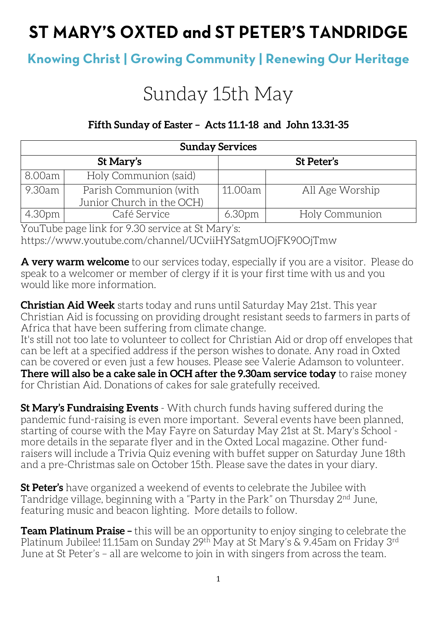# ST MARY'S OXTED and ST PETER'S TANDRIDGE

# **Knowing Christ | Growing Community | Renewing Our Heritage**

# Sunday 15th May

### **Fifth Sunday of Easter – Acts 11.1-18 and John 13.31-35**

| <b>Sunday Services</b> |                           |                    |                 |  |
|------------------------|---------------------------|--------------------|-----------------|--|
|                        | St Mary's                 |                    | St Peter's      |  |
| 8.00am                 | Holy Communion (said)     |                    |                 |  |
| 9.30am                 | Parish Communion (with    | 11.00am            | All Age Worship |  |
|                        | Junior Church in the OCH) |                    |                 |  |
| 4.30pm                 | Café Service              | 6.30 <sub>pm</sub> | Holy Communion  |  |

YouTube page link for 9.30 service at St Mary's: https://www.youtube.com/channel/UCviiHYSatgmUOjFK90OjTmw

**A very warm welcome** to our services today, especially if you are a visitor. Please do speak to a welcomer or member of clergy if it is your first time with us and you would like more information.

**Christian Aid Week** starts today and runs until Saturday May 21st. This year Christian Aid is focussing on providing drought resistant seeds to farmers in parts of Africa that have been suffering from climate change.

It's still not too late to volunteer to collect for Christian Aid or drop off envelopes that can be left at a specified address if the person wishes to donate. Any road in Oxted can be covered or even just a few houses. Please see Valerie Adamson to volunteer. **There will also be a cake sale in OCH after the 9.30am service today** to raise money for Christian Aid. Donations of cakes for sale gratefully received.

**St Mary's Fundraising Events** - With church funds having suffered during the pandemic fund-raising is even more important. Several events have been planned, starting of course with the May Fayre on Saturday May 21st at St. Mary's School more details in the separate flyer and in the Oxted Local magazine. Other fundraisers will include a Trivia Quiz evening with buffet supper on Saturday June 18th and a pre-Christmas sale on October 15th. Please save the dates in your diary.

**St Peter's** have organized a weekend of events to celebrate the Jubilee with Tandridge village, beginning with a "Party in the Park" on Thursday 2<sup>nd</sup> June, featuring music and beacon lighting. More details to follow.

**Team Platinum Praise –** this will be an opportunity to enjoy singing to celebrate the Platinum Jubilee! 11.15am on Sunday 29<sup>th</sup> May at St Mary's & 9.45am on Friday 3<sup>rd</sup> June at St Peter's – all are welcome to join in with singers from across the team.